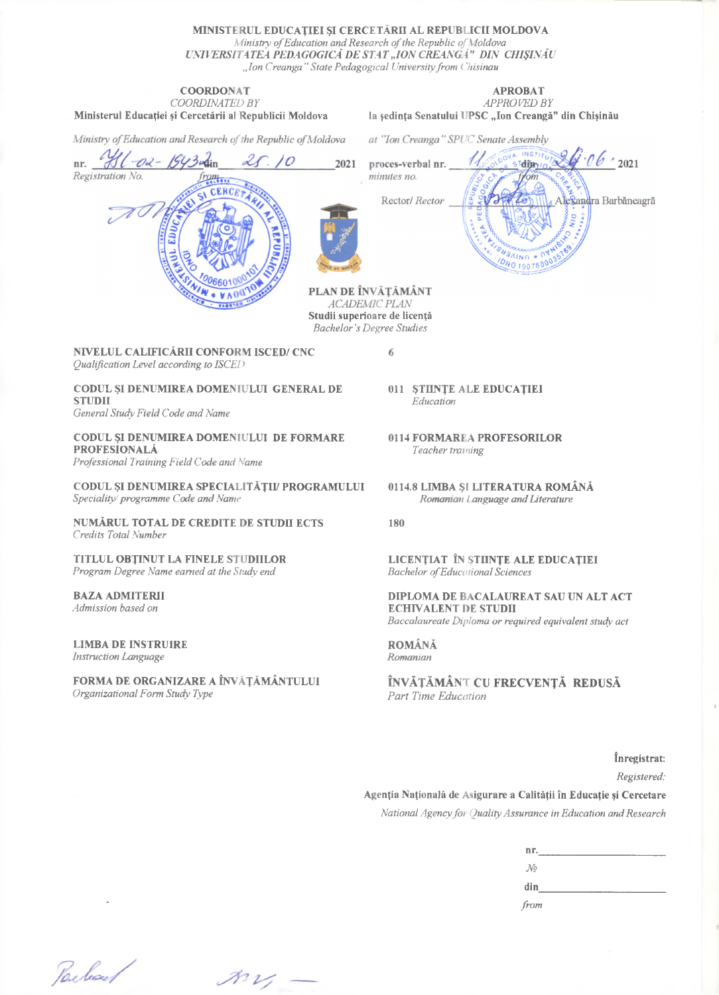**MINISTERUL EDUCAȚIEI ȘI CERCETĂRII AL REPUBLICII MOLDOVA** *Ministry ofEducation andResearch ofthe Republic ofMoldova UNIVERSITATEA PEDAGOGICĂ DESTAT"ION CREANGĂ" DIN CHIȘINĂU "Ion Creanga" State Pedagogicul Universityfront Chișinău*

#### **COORDONAT** *COORDINATED BY* **Ministerul Educației și Cercetării al Republicii Moldova**

#### **APROBAT** *APPROVEDBY* **la ședința Senatului UPSC "Ion Creangă" din Chișinău**

Ministry of Education and Research of the Republic of Moldova din

 $\frac{1}{2}$ 

CERCET

at "Ion Creanga" SPUC Senate Assembly  $\hat{ }$  2021 2021 proces-verbal nr. dim minutes no.  $\alpha$ Rector/ Rector lexandra Barbăneagră  $11N<sub>0</sub>$ WO 100760

PLAN DE ÎNVĂȚĂMÂNT ACADEMIC PLAN **Studii superioare de licență** *Bachelor's Degree Studies*

6

**NIVELUL CALIFICĂRII CONFORM ISCED/ CNC** *Qualification Level according to ISCED*

**CODUL ȘI DENUMIREA DOMENIULUI GENERAL DE STUDII**

*General StudyField Code and Name*

nr.

Registration No.

**CODUL SI DENUMIREA DOMENIULUI DE FORMARE PROFESIONALĂ** *Professional Training Field Code and Name*

**CODUL ȘI DENUMIREA SPECIALITĂȚII/ PROGRAMULUI**

*Speciality/programnte Code and Name*

**NUMĂRUL TOTAL DE CREDITE DE STUDII ECTS** *Credits Total Nurnber*

**TITLUL OBȚINUT LA FINELE STUDIILOR** *Program Degree Name eamed at the Study end*

**BAZA ADMITERII** *Admission based on*

**LIMBA DE LNSTRUIRE** *Instruction Language*

**FORMA DE ORGANIZARE A ÎNVĂȚĂMÂNTULUI** *Organizational Form Study Type*

- **011 ȘTIINȚE ALE EDUCAȚIEI** *Education*
- **0114 FORMARI A PROFESORILOR** *Teacher training*
- **0114.8 LIMBA Șl LITERATURA ROMÂNĂ** *Romanian languageandLiterature*

**180**

**LICENȚIAT ÎN ȘTIINȚE ALE EDUCAȚIEI** *Bachelor ofEducațional Sciences*

**DIPLOMA DE BACALAUREAT SAU UN ALT ACT ECHIVALENT DE STUDII** *Baccalaureate Diploma orrequired equivalentstudy act*

**ROMÂNĂ** *Romanian*

**ÎNVĂȚĂMÂNT CU FRECVENȚĂ REDUSĂ** *Part Time Education*

**înregistrat:** *Registered:* **Agenția Națională de Asigurare a Calității în Educație și Cercetare** *National Agencyfoi QualityAssurance in Education andResearch*

| nr.           |  |  |
|---------------|--|--|
| $\mathcal{N}$ |  |  |
| din           |  |  |
| from          |  |  |

Parlard

 $\mathcal{M}$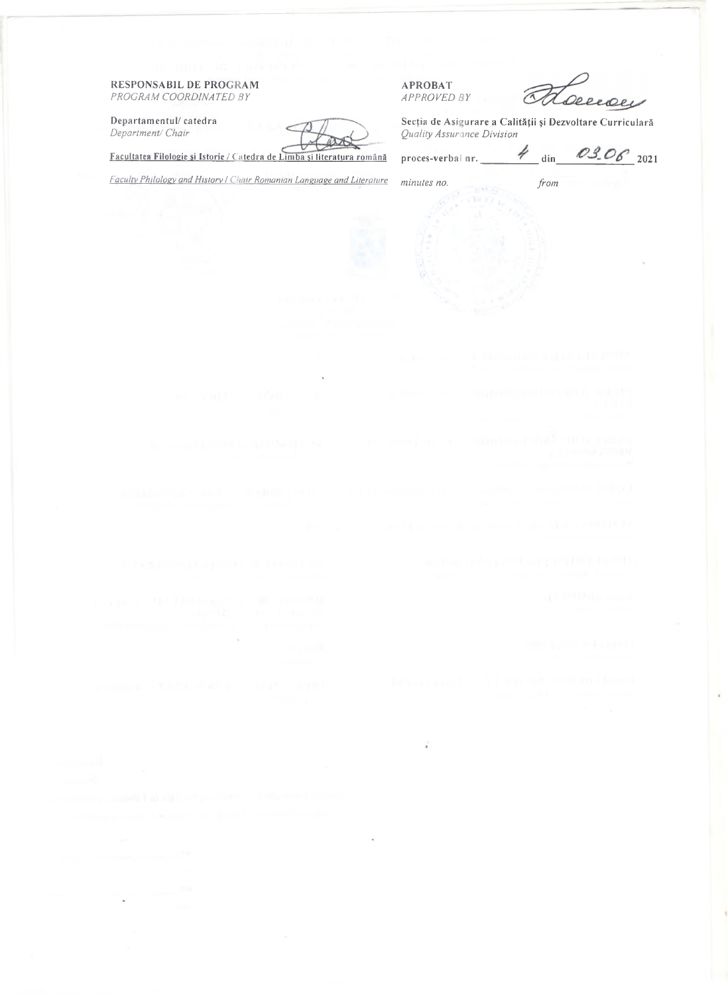RESPONSABIL DE PROGRAM *PROGRAM COORD1NATED BY*

Departamentul/ catedra *Department/ Chair*

APROBAT *APPROVED BY*

Deceaeu

Secția de Asigurare a Calității și Dezvoltare Curriculară *QualityAssurance Division*

Facultatea Filologie și Istorie / Catedra de Limba și literatura română

proces-verbal nr.  $\frac{4}{\text{dim}}$  03.06 2021

*Facultv Philolosy and Historv / Chair Romanian Language and Literature minutes no. from*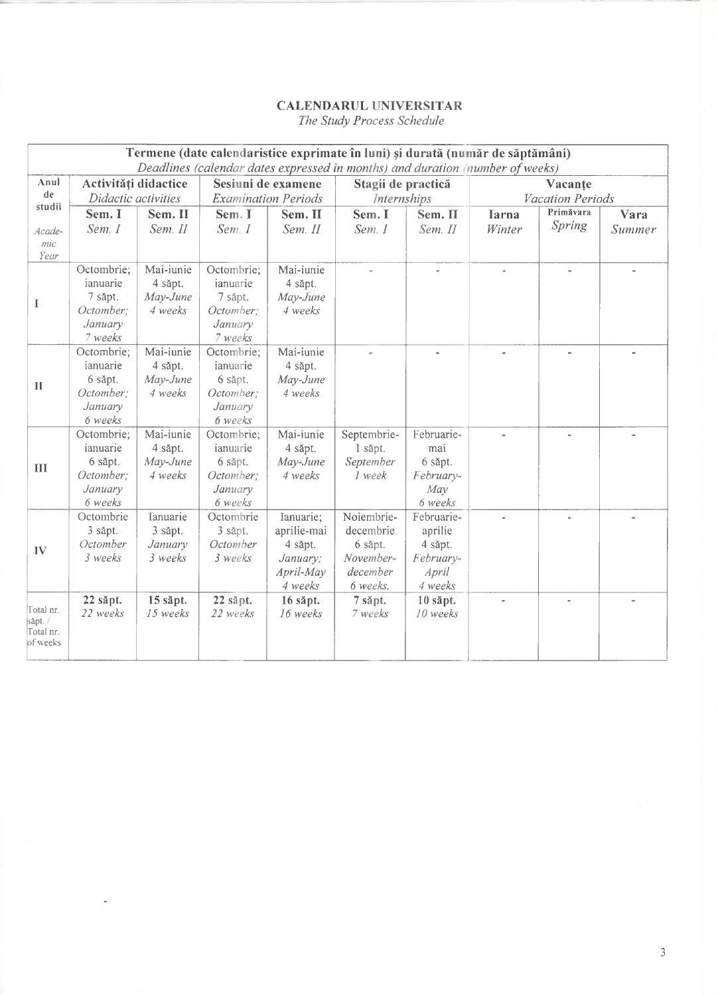#### **CALENDARUL UNIVERSITAR** *The Study Process Schedule*

|                       |                               |                      |                      |                                       | Termene (date calendaristice exprimate în luni) și durată (număr de săptămâni)<br>Deadlines (calendar dates expressed in months) and duration (number of weeks) |            |                          |                                      |        |
|-----------------------|-------------------------------|----------------------|----------------------|---------------------------------------|-----------------------------------------------------------------------------------------------------------------------------------------------------------------|------------|--------------------------|--------------------------------------|--------|
| Anul<br>de            | Activități didactice          |                      |                      | Sesiuni de examene                    | Stagii de practică                                                                                                                                              |            |                          | Vacante                              |        |
| studii                | Didactic activities<br>Sem. I | Sem. II              | Sem. I               | <b>Examination Periods</b><br>Sem. II | Internships<br>Sem. I                                                                                                                                           | Sem. II    | <b>Iarna</b>             | <b>Vacation Periods</b><br>Primăvara | Vara   |
| Acade-                | Sem. I                        | Sem. II              | Sem. I               | Sem. II                               | Sem. I                                                                                                                                                          | Sem. II    | Winter                   | Spring                               | Summer |
| mic                   |                               |                      |                      |                                       |                                                                                                                                                                 |            |                          |                                      |        |
| Year                  |                               |                      |                      |                                       |                                                                                                                                                                 |            |                          |                                      |        |
|                       | Octombrie;<br>ianuarie        | Mai-iunie            | Octombrie;           | Mai-iunie                             | i.                                                                                                                                                              |            | $\overline{\phantom{a}}$ | $\overline{\phantom{a}}$             |        |
|                       |                               | 4 săpt.              | ianuarie             | 4 săpt.                               |                                                                                                                                                                 |            |                          |                                      |        |
| I                     | 7 săpt.<br>Octomber;          | May-June<br>4 weeks  | 7 săpt.<br>Octomber; | May-June<br>4 weeks                   |                                                                                                                                                                 |            |                          |                                      |        |
|                       | January                       |                      | January              |                                       |                                                                                                                                                                 |            |                          |                                      |        |
|                       | 7 weeks                       |                      | 7 weeks              |                                       |                                                                                                                                                                 |            |                          |                                      |        |
|                       | Octombrie;                    | Mai-iunie            | Octombrie;           | Mai-iunie                             |                                                                                                                                                                 |            |                          | $\overline{\phantom{a}}$             |        |
|                       | ianuarie                      | 4 săpt.              | ianuarie             | 4 săpt.                               |                                                                                                                                                                 |            |                          |                                      |        |
|                       | 6 săpt.                       | May-June             | 6 săpt.              | May-June                              |                                                                                                                                                                 |            |                          |                                      |        |
| $\mathbf{I}$          | Octomber;                     | 4 weeks              | Octomber;            | 4 weeks                               |                                                                                                                                                                 |            |                          |                                      |        |
|                       | January                       |                      | January              |                                       |                                                                                                                                                                 |            |                          |                                      |        |
|                       | 6 weeks                       |                      | 6 weeks              |                                       |                                                                                                                                                                 |            |                          |                                      |        |
|                       | Octombrie;                    | Mai-iunie            | Octombrie;           | Mai-iunie                             | Septembrie-                                                                                                                                                     | Februarie- |                          | $\frac{1}{2}$                        |        |
|                       | ianuarie                      | 4 săpt.              | ianuarie             | 4 săpt.                               | 1 săpt.                                                                                                                                                         | mai        |                          |                                      |        |
| III                   | 6 săpt.                       | May-June             | 6 săpt.              | May-June                              | September                                                                                                                                                       | 6 săpt.    |                          |                                      |        |
|                       | Octomber;                     | 4 weeks              | Octomber;            | 4 weeks                               | 1 week                                                                                                                                                          | February-  |                          |                                      |        |
|                       | January                       |                      | January              |                                       |                                                                                                                                                                 | Mav        |                          |                                      |        |
|                       | 6 weeks                       |                      | 6 weeks              |                                       |                                                                                                                                                                 | 6 weeks    |                          |                                      |        |
|                       | Octombrie                     | Ianuarie             | Octombrie            | Ianuarie;                             | Noiembrie-                                                                                                                                                      | Februarie- | Ξ                        | $\bar{a}$                            |        |
|                       | 3 săpt.                       | 3 săpt.              | 3 săpt.              | aprilie-mai                           | decembrie                                                                                                                                                       | aprilie    |                          |                                      |        |
| IV                    | Octomber                      | January              | Octomber             | 4 săpt.                               | 6 săpt.                                                                                                                                                         | 4 săpt.    |                          |                                      |        |
|                       | 3 weeks                       | 3 weeks              | 3 weeks              | January;                              | November-                                                                                                                                                       | February-  |                          |                                      |        |
|                       |                               |                      |                      | April-May                             | december                                                                                                                                                        | April      |                          |                                      |        |
|                       |                               |                      |                      | 4 weeks                               | 6 weeks.                                                                                                                                                        | 4 weeks    |                          |                                      |        |
| Total nr.             | 22 săpt.<br>22 weeks          | 15 săpt.<br>15 weeks | 22 săpt.<br>22 weeks | 16 săpt.                              | 7 săpt.<br>7 weeks                                                                                                                                              | 10 săpt.   |                          |                                      |        |
| săpt. /               |                               |                      |                      | 16 weeks                              |                                                                                                                                                                 | 10 weeks   |                          |                                      |        |
| Total nr.<br>of weeks |                               |                      |                      |                                       |                                                                                                                                                                 |            |                          |                                      |        |
|                       |                               |                      |                      |                                       |                                                                                                                                                                 |            |                          |                                      |        |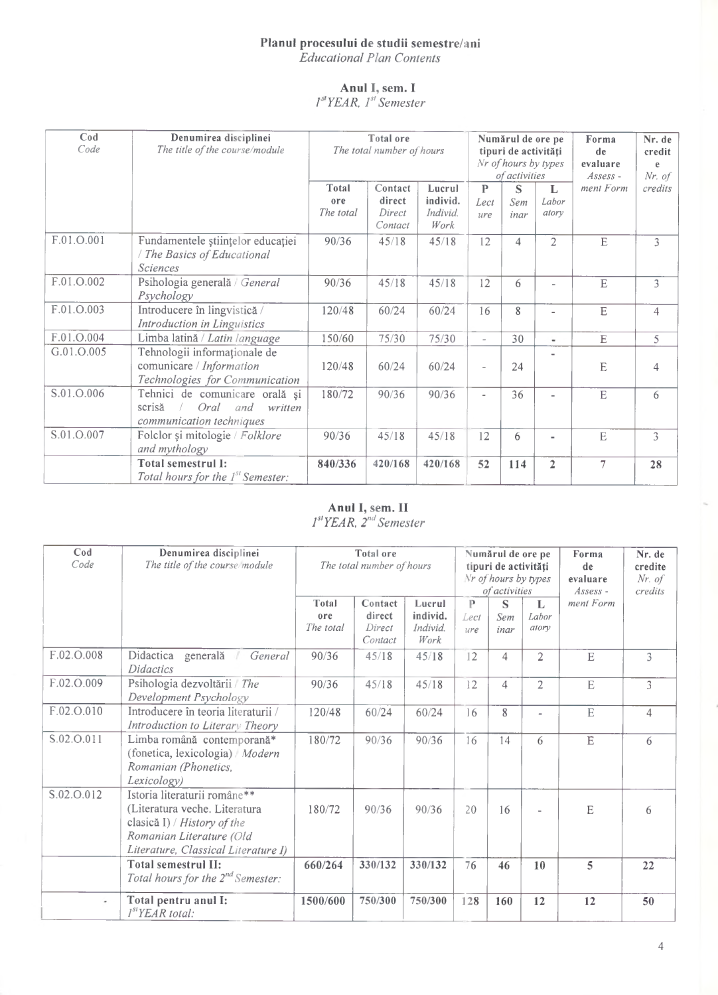### **Planul procesului de studii semestre/ani** *Educațional Plan Contents*

**Anul I, sem. I** *l 'YEAR, lst Semester*

| $\mathbf{C}\mathbf{0}\mathbf{d}$<br>Code | Denumirea disciplinei<br>The title of the course/module                                        | <b>Total ore</b><br>The total number of hours |                                        |                                        | Numărul de ore pe<br>tipuri de activități<br>Nr of hours by types<br>of activities |                  |                     | Forma<br>de<br>evaluare<br>$Assess$ - | Nr. de<br>credit<br>e<br>$Nr.$ of |
|------------------------------------------|------------------------------------------------------------------------------------------------|-----------------------------------------------|----------------------------------------|----------------------------------------|------------------------------------------------------------------------------------|------------------|---------------------|---------------------------------------|-----------------------------------|
|                                          |                                                                                                | Total<br>ore<br>The total                     | Contact<br>direct<br>Direct<br>Contact | Lucrul<br>individ.<br>Individ.<br>Work | $\mathbf{P}$<br>Lect<br>ure                                                        | S<br>Sem<br>inar | L<br>Labor<br>atory | ment Form                             | credits                           |
| F.01.O.001                               | Fundamentele științelor educației<br>The Basics of Educational<br><b>Sciences</b>              | 90/36                                         | 45/18                                  | 45/18                                  | 12                                                                                 | $\overline{4}$   | $\overline{2}$      | E                                     | 3                                 |
| F.01.O.002                               | Psihologia generală / General<br>Psychology                                                    | 90/36                                         | 45/18                                  | 45/18                                  | 12                                                                                 | 6                | Ξ.                  | ${\bf E}$                             | 3                                 |
| F.01.O.003                               | Introducere în lingvistică /<br>Introduction in Linguistics                                    | 120/48                                        | 60/24                                  | 60/24                                  | 16                                                                                 | 8                | a.                  | $\overline{E}$                        | $\overline{4}$                    |
| F.01.O.004                               | Limba latină / Latin language                                                                  | 150/60                                        | 75/30                                  | 75/30                                  | $\overline{\phantom{a}}$                                                           | 30               | ۰                   | $\overline{E}$                        | 5                                 |
| G.01.O.005                               | Tehnologii informaționale de<br>comunicare / Information<br>Technologies for Communication     | 120/48                                        | 60/24                                  | 60/24                                  |                                                                                    | 24               |                     | E                                     | $\overline{4}$                    |
| S.01.O.006                               | Tehnici de comunicare orală și<br>scrisă<br>Oral<br>written<br>and<br>communication techniques | 180/72                                        | 90/36                                  | 90/36                                  |                                                                                    | 36               |                     | $\overline{E}$                        | 6                                 |
| S.01.O.007                               | Folclor și mitologie / Folklore<br>and mythology                                               | 90/36                                         | 45/18                                  | 45/18                                  | 12                                                                                 | 6                | ٠                   | $\mathbf E$                           | 3                                 |
|                                          | Total semestrul 1:<br>Total hours for the 1 <sup>st</sup> Semester:                            | 840/336                                       | 420/168                                | 420/168                                | 52                                                                                 | 114              | $\overline{2}$      | $\overline{7}$                        | 28                                |

## **Anul I, sem. II**

*E'YEAR, 2nd Semester*

| $\mathbf{C}\mathbf{od}$<br>Code | Denumirea disciplinei<br>The title of the course module                                                                                                         | <b>Total</b> ore<br>The total number of hours |                                        |                                        |                  | Numărul de ore pe<br>tipuri de activități<br>Nr of hours by types<br>of activities |                     | Forma<br>de<br>evaluare<br>$Assess -$ | Nr. de<br>credite<br>$Nr.$ of<br>credits |
|---------------------------------|-----------------------------------------------------------------------------------------------------------------------------------------------------------------|-----------------------------------------------|----------------------------------------|----------------------------------------|------------------|------------------------------------------------------------------------------------|---------------------|---------------------------------------|------------------------------------------|
|                                 |                                                                                                                                                                 | Total<br>ore<br>The total                     | Contact<br>direct<br>Direct<br>Contact | Lucrul<br>individ.<br>Individ.<br>Work | P<br>Lect<br>ure | S<br>Sem<br>inar                                                                   | L<br>Labor<br>atory | ment Form                             |                                          |
| F.02.O.008                      | Didactica<br>generală<br>General<br><b>Didactics</b>                                                                                                            | 90/36                                         | 45/18                                  | 45/18                                  | 12               | 4                                                                                  | $\overline{2}$      | E                                     | 3                                        |
| F.02.O.009                      | Psihologia dezvoltării / The<br>Development Psychology                                                                                                          | 90/36                                         | 45/18                                  | 45/18                                  | 12               | $\overline{4}$                                                                     | $\overline{2}$      | E                                     | $\overline{3}$                           |
| F.02.O.010                      | Introducere în teoria literaturii /<br>Introduction to Literary Theory                                                                                          | 120/48                                        | 60/24                                  | 60/24                                  | 16               | 8                                                                                  | $\overline{a}$      | E                                     | $\overline{4}$                           |
| S.02.O.011                      | Limba română contemporană*<br>(fonetica, lexicologia) / Modern<br>Romanian (Phonetics,<br>Lexicology)                                                           | 180/72                                        | 90/36                                  | 90/36                                  | 16               | 14                                                                                 | 6                   | E                                     | 6                                        |
| S.02.O.012                      | Istoria literaturii române**<br>(Literatura veche. Literatura<br>clasică I) / History of the<br>Romanian Literature (Old<br>Literature, Classical Literature I) | 180/72                                        | 90/36                                  | 90/36                                  | 20               | 16                                                                                 |                     | E                                     | 6                                        |
|                                 | <b>Total semestrul II:</b><br>Total hours for the $2^{nd}$ Semester:                                                                                            | 660/264                                       | 330/132                                | 330/132                                | 76               | 46                                                                                 | 10                  | 5                                     | 22                                       |
| $\tilde{\phantom{a}}$           | Total pentru anul I:<br>I <sup>st</sup> YEAR total:                                                                                                             | 1500/600                                      | 750/300                                | 750/300                                | 128              | 160                                                                                | 12                  | 12                                    | 50                                       |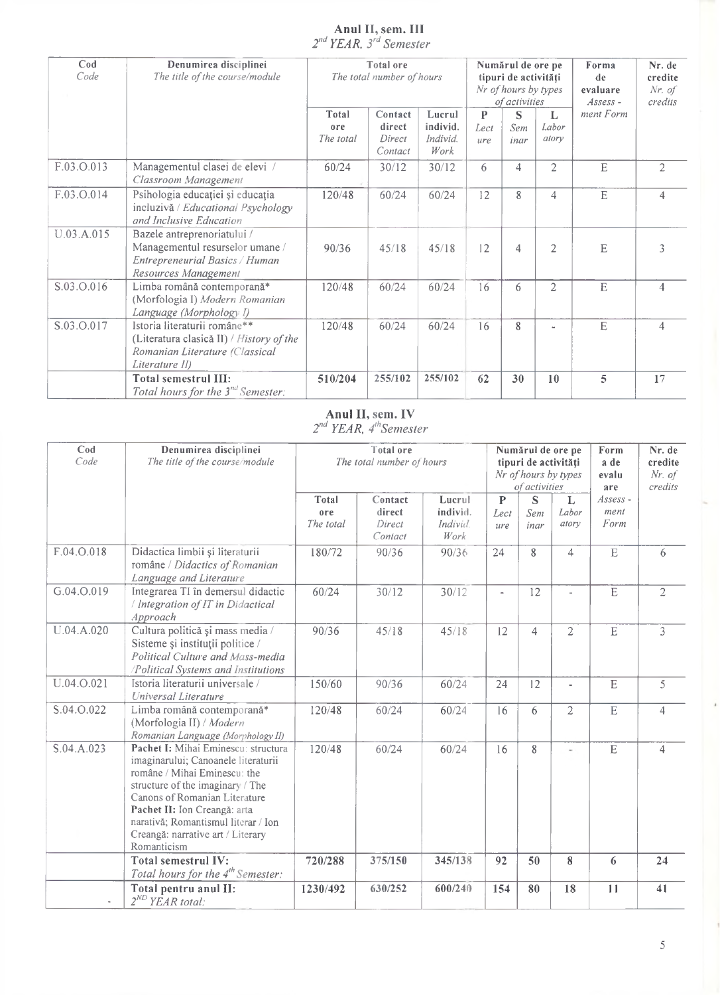#### **Anul II, sem. III** *2^ YEAR, 3\* Semester*

| $\mathbf{C}\circ\mathbf{d}$<br>Code | Denumirea disciplinei<br>The title of the course/module                                                                      |                           | <b>Total</b> ore<br>Numărul de ore pe<br>The total number of hours<br>tipuri de activități<br>Nr of hours by types<br>of activities |                                        |                  |                  |                     | Forma<br>de<br>evaluare<br>$Assess -$ | Nr. de<br>credite<br>$Nr.$ of<br>credits |  |
|-------------------------------------|------------------------------------------------------------------------------------------------------------------------------|---------------------------|-------------------------------------------------------------------------------------------------------------------------------------|----------------------------------------|------------------|------------------|---------------------|---------------------------------------|------------------------------------------|--|
|                                     |                                                                                                                              | Total<br>ore<br>The total | Contact<br>direct<br>Direct<br>Contact                                                                                              | Lucrul<br>individ.<br>Individ.<br>Work | P<br>Lect<br>ure | S<br>Sem<br>inar | L<br>Labor<br>atory | ment Form                             |                                          |  |
| F.03.O.013                          | Managementul clasei de elevi /<br>Classroom Management                                                                       | 60/24                     | 30/12                                                                                                                               | 30/12                                  | 6                | 4                | $\overline{2}$      | $\mathbf E$                           | $\overline{2}$                           |  |
| F.03.O.014                          | Psihologia educației și educația<br>incluzivă / Educational Psychology<br>and Inclusive Education                            | 120/48                    | 60/24                                                                                                                               | 60/24                                  | 12               | 8                | 4                   | $\mathbf E$                           | $\overline{4}$                           |  |
| U.03.A.015                          | Bazele antreprenoriatului /<br>Managementul resurselor umane /<br>Entrepreneurial Basics / Human<br>Resources Management     | 90/36                     | 45/18                                                                                                                               | 45/18                                  | 12               | $\overline{4}$   | 2                   | E                                     | 3                                        |  |
| S.03.O.016                          | Limba română contemporană*<br>(Morfologia I) Modern Romanian<br>Language (Morphology I)                                      | 120/48                    | 60/24                                                                                                                               | 60/24                                  | 16               | 6                | 2                   | $\mathbf E$                           | $\overline{4}$                           |  |
| S.03.O.017                          | Istoria literaturii române**<br>(Literatura clasică II) / History of the<br>Romanian Literature (Classical<br>Literature II) | 120/48                    | 60/24                                                                                                                               | 60/24                                  | 16               | 8                |                     | E                                     | $\overline{4}$                           |  |
|                                     | <b>Total semestrul III:</b><br>Total hours for the $3^{nd}$ Semester:                                                        | 510/204                   | 255/102                                                                                                                             | 255/102                                | 62               | 30               | 10                  | 5                                     | 17                                       |  |

# **Anul II, sem. IV**

2<sup>nd</sup> YEAR, 4<sup>th</sup>Semester

| $\mathbf{C}\text{od}$<br>Code | Denumirea disciplinei<br>The title of the course/module                                                                                                                                                                                                                                                    |                           | <b>Total ore</b><br>The total number of hours |                                              |                             | Numărul de ore pe<br>tipuri de activități<br>Nr of hours by types<br>of activities |                     | Form<br>a de<br>evalu<br>are | Nr. de<br>credite<br>$Nr.$ of<br>credits |
|-------------------------------|------------------------------------------------------------------------------------------------------------------------------------------------------------------------------------------------------------------------------------------------------------------------------------------------------------|---------------------------|-----------------------------------------------|----------------------------------------------|-----------------------------|------------------------------------------------------------------------------------|---------------------|------------------------------|------------------------------------------|
|                               |                                                                                                                                                                                                                                                                                                            | Total<br>ore<br>The total | Contact<br>direct<br>Direct<br>Contact        | Lucrul<br>individ.<br><i>Individ</i><br>Work | $\mathbf{P}$<br>Lect<br>ure | S<br>Sem<br>inar                                                                   | L<br>Labor<br>atory | Assess -<br>ment<br>Form     |                                          |
| F.04.O.018                    | Didactica limbii și literaturii<br>române / Didactics of Romanian<br>Language and Literature                                                                                                                                                                                                               | 180/72                    | 90/36                                         | 90/36                                        | 24                          | 8                                                                                  | 4                   | $\mathbf E$                  | 6                                        |
| G.04.O.019                    | Integrarea TI în demersul didactic<br>/ Integration of IT in Didactical<br>Approach                                                                                                                                                                                                                        | 60/24                     | 30/12                                         | 30/12                                        | $\overline{a}$              | 12                                                                                 |                     | $\overline{E}$               | $\overline{2}$                           |
| U.04.A.020                    | Cultura politică și mass media /<br>Sisteme și instituții politice /<br>Political Culture and Mass-media<br>/Political Systems and Institutions                                                                                                                                                            | 90/36                     | 45/18                                         | 45/18                                        | 12                          | $\overline{4}$                                                                     | $\overline{2}$      | E                            | $\overline{3}$                           |
| U.04.O.021                    | Istoria literaturii universale /<br>Universal Literature                                                                                                                                                                                                                                                   | 150/60                    | 90/36                                         | 60/24                                        | 24                          | $\overline{12}$                                                                    |                     | $\overline{E}$               | $\overline{5}$                           |
| S.04.O.022                    | Limba română contemporană*<br>(Morfologia II) / Modern<br>Romanian Language (Morphology II)                                                                                                                                                                                                                | 120/48                    | 60/24                                         | 60/24                                        | 16                          | 6                                                                                  | $\overline{2}$      | $\overline{E}$               | $\overline{4}$                           |
| S.04.A.023                    | Pachet I: Mihai Eminescu: structura<br>imaginarului; Canoanele literaturii<br>române / Mihai Eminescu: the<br>structure of the imaginary / The<br>Canons of Romanian Literature<br>Pachet II: Ion Creangă: arta<br>narativă; Romantismul literar / Ion<br>Creangă: narrative art / Literary<br>Romanticism | 120/48                    | 60/24                                         | 60/24                                        | 16                          | 8                                                                                  |                     | $\mathbf E$                  | $\overline{4}$                           |
|                               | <b>Total semestrul IV:</b><br>Total hours for the 4 <sup>th</sup> Semester:                                                                                                                                                                                                                                | 720/288                   | 375/150                                       | 345/138                                      | 92                          | 50                                                                                 | 8                   | 6                            | 24                                       |
|                               | Total pentru anul II:<br>$2^{ND}$ YEAR total:                                                                                                                                                                                                                                                              | 1230/492                  | 630/252                                       | 600/240                                      | 154                         | 80                                                                                 | 18                  | 11                           | 41                                       |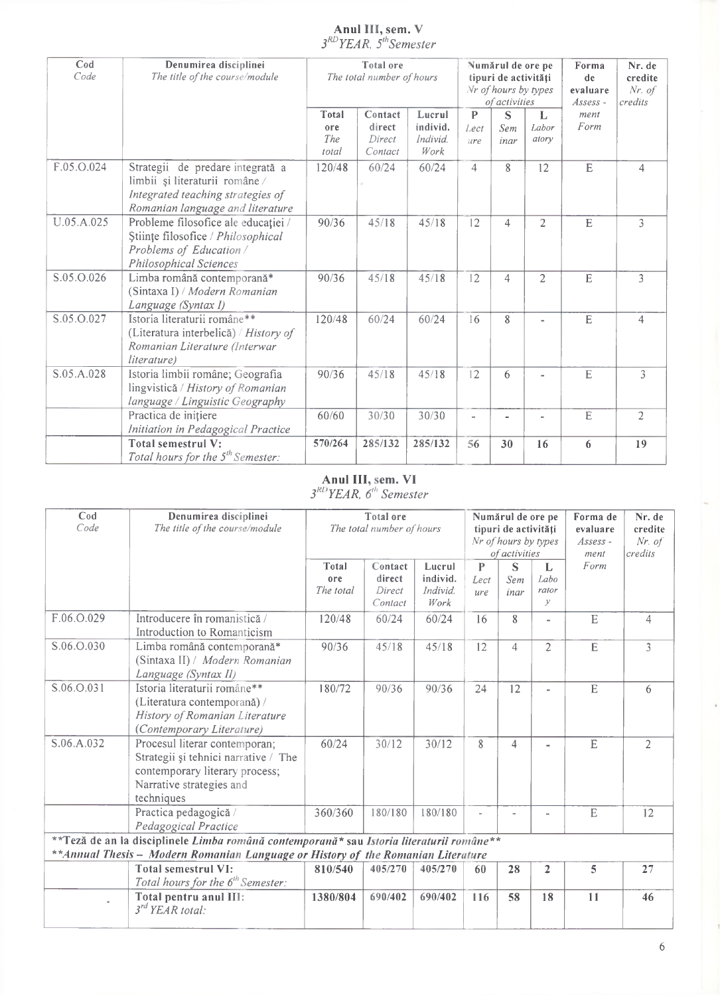#### **Anul III, sem. V** *S^YEAR. 5,hSemester*

| Cod<br>Code | Denumirea disciplinei<br>The title of the course/module                                                                                     |                                     | Total ore<br>The total number of hours |                                        | Numărul de ore pe<br>tipuri de activități<br>Nr of hours by types<br>of activities |                  |                     | Forma<br>de<br>evaluare<br>$Assess -$ | Nr. de<br>credite<br>$Nr.$ of<br>credits |
|-------------|---------------------------------------------------------------------------------------------------------------------------------------------|-------------------------------------|----------------------------------------|----------------------------------------|------------------------------------------------------------------------------------|------------------|---------------------|---------------------------------------|------------------------------------------|
|             |                                                                                                                                             | <b>Total</b><br>ore<br>The<br>total | Contact<br>direct<br>Direct<br>Contact | Lucrul<br>individ.<br>Individ.<br>Work | $\mathbf{P}$<br>Lect<br>ure                                                        | S<br>Sem<br>inar | L<br>Labor<br>atory | ment<br>Form                          |                                          |
| F.05.O.024  | Strategii de predare integrată a<br>limbii și literaturii române /<br>Integrated teaching strategies of<br>Romanian language and literature | 120/48                              | 60/24                                  | 60/24                                  | $\overline{4}$                                                                     | 8                | 12                  | E                                     | 4                                        |
| U.05.A.025  | Probleme filosofice ale educației /<br>Stiințe filosofice / Philosophical<br>Problems of Education /<br><b>Philosophical Sciences</b>       | 90/36                               | 45/18                                  | 45/18                                  | 12                                                                                 | $\overline{4}$   | $\overline{2}$      | $\overline{E}$                        | $\overline{\mathbf{3}}$                  |
| S.05.O.026  | Limba română contemporană*<br>(Sintaxa I) / Modern Romanian<br>Language (Syntax I)                                                          | 90/36                               | 45/18                                  | 45/18                                  | $\overline{12}$                                                                    | $\overline{4}$   | $\overline{2}$      | E                                     | $\mathcal{E}$                            |
| S.05.O.027  | Istoria literaturii române**<br>(Literatura interbelică) / History of<br>Romanian Literature (Interwar<br>literature)                       | 120/48                              | 60/24                                  | 60/24                                  | 16                                                                                 | 8                |                     | E                                     | $\overline{4}$                           |
| S.05.A.028  | Istoria limbii române; Geografia<br>lingvistică / History of Romanian<br>language / Linguistic Geography                                    | 90/36                               | 45/18                                  | 45/18                                  | 12                                                                                 | 6                |                     | $\mathbf E$                           | $\overline{3}$                           |
|             | Practica de inițiere<br>Initiation in Pedagogical Practice                                                                                  | 60/60                               | 30/30                                  | 30/30                                  |                                                                                    |                  |                     | E                                     | $\overline{2}$                           |
|             | <b>Total semestrul V:</b><br>Total hours for the 5 <sup>th</sup> Semester:                                                                  | 570/264                             | 285/132                                | 285/132                                | 56                                                                                 | 30               | 16                  | 6                                     | 19                                       |

## **Anul III, seni. VI**

*3,<i'YEAR, 6'1' Semester*

| $\mathbf{C}\boldsymbol{\mathsf{od}}$<br>Code | Denumirea disciplinei<br>The title of the course/module                                                                                                                       |                                  | <b>Total</b> ore<br>The total number of hours |                                        | Numărul de ore pe<br>tipuri de activități<br>Nr of hours by types<br>of activities<br>P |                            |                                     | Forma de<br>evaluare<br>$Assess$ -<br>ment | Nr. de<br>credite<br>$Nr.$ of<br>$ {\it credits} $ |
|----------------------------------------------|-------------------------------------------------------------------------------------------------------------------------------------------------------------------------------|----------------------------------|-----------------------------------------------|----------------------------------------|-----------------------------------------------------------------------------------------|----------------------------|-------------------------------------|--------------------------------------------|----------------------------------------------------|
|                                              |                                                                                                                                                                               | <b>Total</b><br>ore<br>The total | Contact<br>direct<br>Direct<br>Contact        | Lucrul<br>individ.<br>Individ.<br>Work | Lect<br>ure                                                                             | $\mathbf S$<br>Sem<br>inar | L<br>Labo<br>rator<br>$\mathcal{Y}$ | Form                                       |                                                    |
| F.06.O.029                                   | Introducere în romanistică /<br>Introduction to Romanticism                                                                                                                   | 120/48                           | 60/24                                         | 60/24                                  | 16                                                                                      | 8                          | $\overline{\phantom{0}}$            | E                                          | $\overline{4}$                                     |
| S.06.O.030                                   | Limba română contemporană*<br>(Sintaxa II) / Modern Romanian<br>Language (Syntax II)                                                                                          | 90/36                            | 45/18                                         | 45/18                                  | 12                                                                                      | $\overline{4}$             | $\overline{2}$                      | E                                          | $\overline{3}$                                     |
| S.06.O.031                                   | Istoria literaturii române**<br>(Literatura contemporană) /<br>History of Romanian Literature<br>(Contemporary Literature)                                                    | 180/72                           | 90/36                                         | 90/36                                  | 24                                                                                      | 12                         | $\overline{\phantom{a}}$            | E                                          | 6                                                  |
| S.06.A.032                                   | Procesul literar contemporan;<br>Strategii și tehnici narrative / The<br>contemporary literary process;<br>Narrative strategies and<br>techniques                             | 60/24                            | 30/12                                         | 30/12                                  | 8                                                                                       | $\overline{4}$             | ٠                                   | E                                          | $\overline{2}$                                     |
|                                              | Practica pedagogică /<br>Pedagogical Practice                                                                                                                                 | 360/360                          | 180/180                                       | 180/180                                |                                                                                         |                            |                                     | E                                          | 12                                                 |
|                                              | **Teză de an la disciplinele Limba română contemporană* sau Istoria literaturii române**<br>** Annual Thesis - Modern Romanian Language or History of the Romanian Literature |                                  |                                               |                                        |                                                                                         |                            |                                     |                                            |                                                    |
|                                              | <b>Total semestrul VI:</b><br>Total hours for the 6 <sup>th</sup> Semester:                                                                                                   | 810/540                          | 405/270                                       | 405/270                                | 60                                                                                      | 28                         | $\overline{2}$                      | 5                                          | 27                                                 |
|                                              | Total pentru anul III:<br>$3^{rd}$ YEAR total:                                                                                                                                | 1380/804                         | 690/402                                       | 690/402                                | 116                                                                                     | 58                         | 18                                  | 11                                         | 46                                                 |

6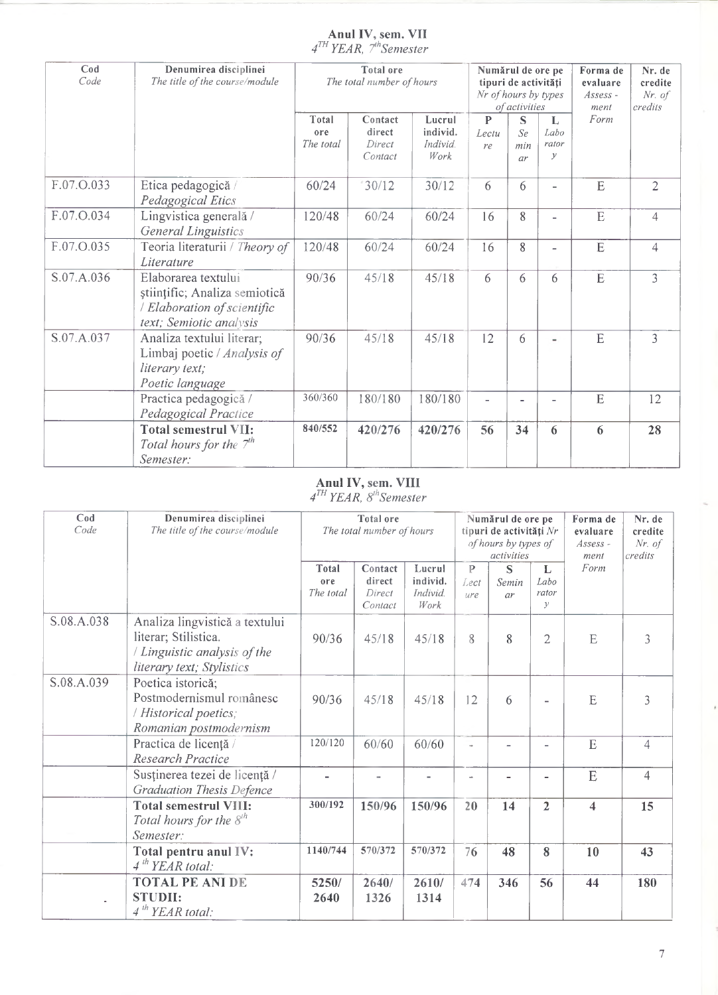#### **Anul IV, sem. VII** *4™ YEAR, 7\*Semester*

| Cod<br>Code | Denumirea disciplinei<br>The title of the course/module                                                        | Total ore<br>The total number of hours |                                        |                                        | Nr of hours by types        | Numărul de ore pe<br>tipuri de activități<br>of activities |                                     | Forma de<br>evaluare<br>Assess -<br>ment | Nr. de<br>credite<br>$Nr.$ of<br>credits |  |
|-------------|----------------------------------------------------------------------------------------------------------------|----------------------------------------|----------------------------------------|----------------------------------------|-----------------------------|------------------------------------------------------------|-------------------------------------|------------------------------------------|------------------------------------------|--|
|             |                                                                                                                | Total<br>ore<br>The total              | Contact<br>direct<br>Direct<br>Contact | Lucrul<br>individ.<br>Individ.<br>Work | $\mathbf{P}$<br>Lectu<br>re | S<br>Se<br>min<br>ar                                       | L<br>Labo<br>rator<br>$\mathcal{Y}$ | Form                                     |                                          |  |
| F.07.O.033  | Etica pedagogică /<br>Pedagogical Etics                                                                        | 60/24                                  | 30/12                                  | 30/12                                  | 6                           | 6                                                          | $\overline{\phantom{0}}$            | E                                        | $\overline{2}$                           |  |
| F.07.O.034  | Lingvistica generală /<br><b>General Linguistics</b>                                                           | 120/48                                 | 60/24                                  | 60/24                                  | 16                          | 8                                                          | $\overline{\phantom{0}}$            | E                                        | $\overline{4}$                           |  |
| F.07.O.035  | Teoria literaturii / Theory of<br>Literature                                                                   | 120/48                                 | 60/24                                  | 60/24                                  | 16                          | 8                                                          | $\overline{a}$                      | E                                        | $\overline{4}$                           |  |
| S.07.A.036  | Elaborarea textului<br>științific; Analiza semiotică<br>/ Elaboration of scientific<br>text; Semiotic analysis | 90/36                                  | 45/18                                  | 45/18                                  | 6                           | 6                                                          | 6                                   | E                                        | $\overline{3}$                           |  |
| S.07.A.037  | Analiza textului literar;<br>Limbaj poetic / Analysis of<br><i>literary text;</i><br>Poetic language           | 90/36                                  | 45/18                                  | 45/18                                  | 12                          | 6                                                          |                                     | E                                        | $\overline{3}$                           |  |
|             | Practica pedagogică /<br>Pedagogical Practice                                                                  | 360/360                                | 180/180                                | 180/180                                | $\overline{\phantom{a}}$    |                                                            | $\overline{a}$                      | E                                        | 12                                       |  |
|             | <b>Total semestrul VII:</b><br>Total hours for the $7th$<br>Semester:                                          | 840/552                                | 420/276                                | 420/276                                | 56                          | 34                                                         | 6                                   | 6                                        | 28                                       |  |

#### **Anul IV, sem. VIII**

 $4<sup>III</sup> YEAR, 8<sup>m</sup> Semester$ 

| $\mathbf{C}\boldsymbol{\mathsf{od}}$<br>Code | Denumirea disciplinei<br>The title of the course/module                                                             |                                  | <b>Total</b> ore<br>The total number of hours |                                              |                  | Numărul de ore pe<br>tipuri de activități Nr<br>of hours by types of<br><i>activities</i> |                                     | Forma de<br>evaluare<br>Assess -<br>ment | Nr. de<br>credite<br>$Nr.$ of<br>credits |
|----------------------------------------------|---------------------------------------------------------------------------------------------------------------------|----------------------------------|-----------------------------------------------|----------------------------------------------|------------------|-------------------------------------------------------------------------------------------|-------------------------------------|------------------------------------------|------------------------------------------|
|                                              |                                                                                                                     | <b>Total</b><br>ore<br>The total | Contact<br>direct<br>Direct<br>Contact        | Lucrul<br>individ.<br><i>Individ</i><br>Work | P<br>Lect<br>ure | S<br>Semin<br>ar                                                                          | L<br>Labo<br>rator<br>$\mathcal{Y}$ | Form                                     |                                          |
| S.08.A.038                                   | Analiza lingvistică a textului<br>literar; Stilistica.<br>/ Linguistic analysis of the<br>literary text; Stylistics | 90/36                            | 45/18                                         | 45/18                                        | 8                | 8                                                                                         | 2                                   | E                                        | 3                                        |
| S.08.A.039                                   | Poetica istorică;<br>Postmodernismul românesc<br>/ Historical poetics;<br>Romanian postmodernism                    | 90/36                            | 45/18                                         | 45/18                                        | 12               | 6                                                                                         |                                     | E                                        | 3                                        |
|                                              | Practica de licență<br>Research Practice                                                                            | 120/120                          | 60/60                                         | 60/60                                        |                  | $\overline{a}$                                                                            | $\blacksquare$                      | E                                        | 4                                        |
|                                              | Susținerea tezei de licență /<br><b>Graduation Thesis Defence</b>                                                   |                                  |                                               | $\blacksquare$                               | $\overline{a}$   | $\overline{a}$                                                                            | $\blacksquare$                      | E                                        | $\overline{4}$                           |
|                                              | <b>Total semestrul VIII:</b><br>Total hours for the $8th$<br>Semester:                                              | 300/192                          | 150/96                                        | 150/96                                       | 20               | 14                                                                                        | $\overline{2}$                      | $\overline{\mathbf{4}}$                  | 15                                       |
|                                              | Total pentru anul IV:<br>4 <sup>th</sup> <i>YEAR total</i> :                                                        | 1140/744                         | 570/372                                       | 570/372                                      | 76               | 48                                                                                        | 8                                   | 10                                       | 43                                       |
|                                              | <b>TOTAL PE ANI DE</b><br><b>STUDII:</b><br>4 <sup>th</sup> <i>YEAR total</i> :                                     | 5250/<br>2640                    | 2640/<br>1326                                 | 2610/<br>1314                                | 474              | 346                                                                                       | 56                                  | 44                                       | 180                                      |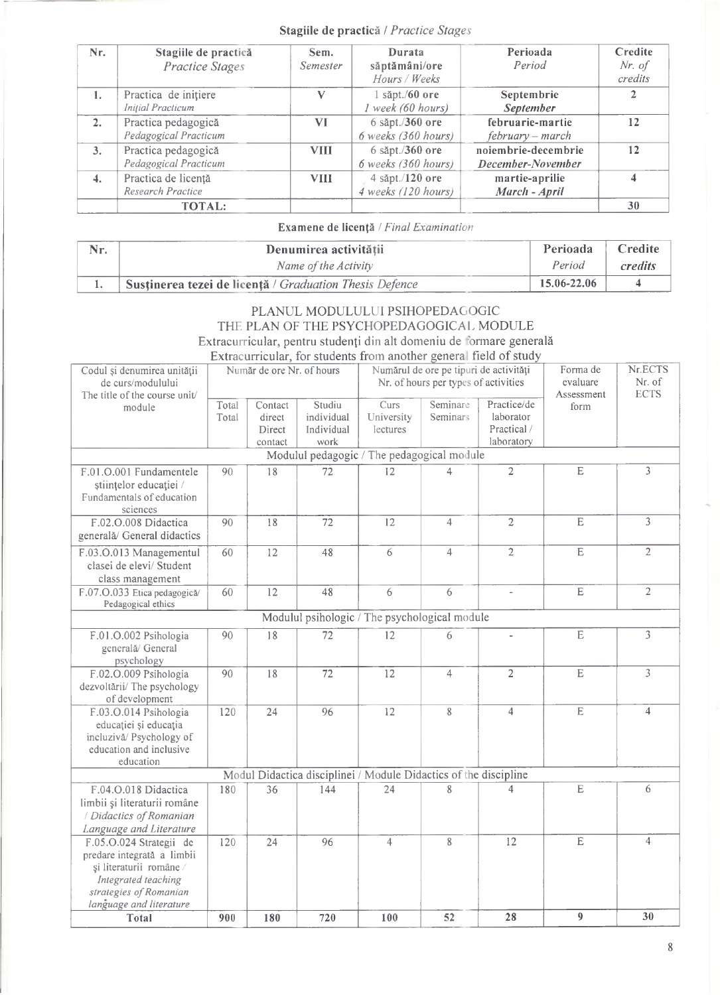#### **Stagiile de practică /** *Practice Stages*

| Nr.            | Stagiile de practică<br><b>Practice Stages</b>   | Sem.<br>Semester | Durata<br>săptămâni/ore<br>Hours / Weeks | Perioada<br>Period                       | Credite<br>Nr. of<br>credits |
|----------------|--------------------------------------------------|------------------|------------------------------------------|------------------------------------------|------------------------------|
| $\mathbf{1}$ . | Practica de inițiere<br><b>Initial Practicum</b> |                  | săpt./60 ore<br>I week (60 hours)        | Septembrie<br><b>September</b>           |                              |
| 2.             | Practica pedagogică<br>Pedagogical Practicum     | VI               | $6$ săpt./360 ore<br>6 weeks (360 hours) | februarie-martie<br>$february - march$   | 12                           |
| 3 <sub>1</sub> | Practica pedagogică<br>Pedagogical Practicum     | <b>VIII</b>      | 6 săpt./360 ore<br>$6$ weeks (360 hours) | noiembrie-decembrie<br>December-November | 12                           |
| 4.             | Practica de licență<br>Research Practice         | <b>VIII</b>      | $4$ săpt./120 ore<br>4 weeks (120 hours) | martie-aprilie<br>March - April          |                              |
|                | <b>TOTAL:</b>                                    |                  |                                          |                                          | 30                           |

#### **Examene de licență /** *Final Examination*

| Nr. | Denumirea activității                                                | Perioada    | <b>Credite</b> |
|-----|----------------------------------------------------------------------|-------------|----------------|
|     | Name of the Activity                                                 | Period      | <i>credits</i> |
|     | <sup>t</sup> Sustinerea tezei de licență / Graduation Thesis Defence | 15.06-22.06 |                |

#### PLANUL MODULULUI PSIHOPEDAGOGIC THE PLAN OF THE PSYCHOPEDAGOGICAL MODULE Extracurricular, pentru studenți din alt domeniu de formare generală Extracurricular, for students from another general field of study

| Codul și denumirea unității<br>de curs/modulului<br>The title of the course unit/                                                                            |                | Număr de ore Nr. of hours              |                                                                  |                                | Numărul de ore pe tipuri de activități<br>Nr. of hours per types of activities | Forma de<br>evaluare<br>Assessment                    | Nr.ECTS<br>Nr. of<br><b>ECTS</b> |                |
|--------------------------------------------------------------------------------------------------------------------------------------------------------------|----------------|----------------------------------------|------------------------------------------------------------------|--------------------------------|--------------------------------------------------------------------------------|-------------------------------------------------------|----------------------------------|----------------|
| module                                                                                                                                                       | Total<br>Total | Contact<br>direct<br>Direct<br>contact | Studiu<br>individual<br>Individual<br>work                       | Curs<br>University<br>lectures | Seminare<br><b>Seminars</b>                                                    | Practice/de<br>laborator<br>Practical /<br>laboratory | form                             |                |
|                                                                                                                                                              |                |                                        | Modulul pedagogic / The pedagogical module                       |                                |                                                                                |                                                       |                                  |                |
| F.01.O.001 Fundamentele<br>științelor educației /<br>Fundamentals of education<br>sciences                                                                   | 90             | 18                                     | 72                                                               | 12                             | $\overline{4}$                                                                 | $\overline{2}$                                        | E                                | $\overline{3}$ |
| F.02.O.008 Didactica<br>generală/ General didactics                                                                                                          | 90             | 18                                     | 72                                                               | 12                             | $\overline{4}$                                                                 | $\overline{2}$                                        | $\overline{E}$                   | 3              |
| F.03.O.013 Managementul<br>clasei de elevi/ Student<br>class management                                                                                      | 60             | 12                                     | 48                                                               | 6                              | $\overline{4}$                                                                 | $\overline{2}$                                        | $\mathbf E$                      | $\overline{2}$ |
| F.07.O.033 Etica pedagogică/<br>Pedagogical ethics                                                                                                           | 60             | 12                                     | 48                                                               | 6                              | 6                                                                              | $\overline{\phantom{a}}$                              | E                                | $\overline{2}$ |
|                                                                                                                                                              |                |                                        | Modulul psihologic / The psychological module                    |                                |                                                                                |                                                       |                                  |                |
| F.01.O.002 Psihologia<br>generală/ General<br>psychology                                                                                                     | 90             | 18                                     | $\overline{72}$                                                  | 12                             | 6                                                                              | $\bar{ }$                                             | $\overline{E}$                   | $\overline{3}$ |
| F.02.O.009 Psihologia<br>dezvoltării/ The psychology<br>of development                                                                                       | 90             | 18                                     | 72                                                               | 12                             | 4                                                                              | $\overline{c}$                                        | $\overline{E}$                   | $\overline{3}$ |
| F.03.O.014 Psihologia<br>educației și educația<br>incluzivă/ Psychology of<br>education and inclusive<br>education                                           | 120            | 24                                     | 96                                                               | 12                             | 8                                                                              | $\overline{4}$                                        | $\overline{\mathrm{E}}$          | 4              |
|                                                                                                                                                              |                |                                        | Modul Didactica disciplinei / Module Didactics of the discipline |                                |                                                                                |                                                       |                                  |                |
| F.04.O.018 Didactica<br>limbii și literaturii române<br>/ Didactics of Romanian<br>Language and Literature                                                   | 180            | 36                                     | 144                                                              | 24                             | 8                                                                              | 4                                                     | E                                | 6              |
| F.05.O.024 Strategii de<br>predare integrată a limbii<br>și literaturii române /<br>Integrated teaching<br>strategies of Romanian<br>language and literature | 120            | 24                                     | 96                                                               | $\overline{4}$                 | 8                                                                              | 12                                                    | E                                | $\overline{4}$ |
| Total                                                                                                                                                        | 900            | 180                                    | 720                                                              | 100                            | 52                                                                             | 28                                                    | $\overline{9}$                   | 30             |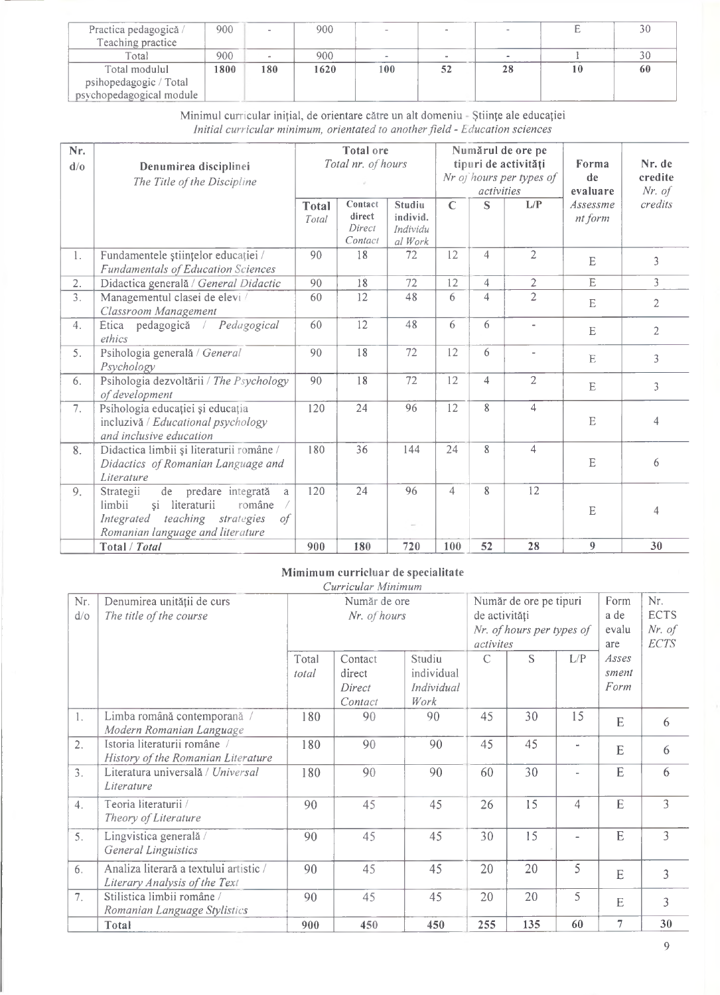| Practica pedagogică /<br>Teaching practice | 900  |        | 900  |     | $\sim$   |    |    |
|--------------------------------------------|------|--------|------|-----|----------|----|----|
| Total                                      | 900  | $\sim$ | 900  |     | $\equiv$ |    |    |
| Total modulul                              | 1800 | 180    | 1620 | 100 |          | 28 | 60 |
| psihopedagogic / Total                     |      |        |      |     |          |    |    |
| psychopedagogical module                   |      |        |      |     |          |    |    |

Minimul curricular inițial, de orientare către un alt domeniu - Științe ale educației *Inițial curricular minimum, orientated to anotherfield - Education Sciences*

| Nr.<br>d/0 | Denumirea disciplinei<br>The Title of the Discipline                                              |                       | <b>Total</b> ore<br>Total nr. of hours |                                           | activities   | Numărul de ore pe<br>tipuri de activități<br>Nr of hours per types of | Forma<br>de<br>evaluare  | Nr. de<br>credite<br>$Nr.$ of |                |
|------------|---------------------------------------------------------------------------------------------------|-----------------------|----------------------------------------|-------------------------------------------|--------------|-----------------------------------------------------------------------|--------------------------|-------------------------------|----------------|
|            |                                                                                                   | <b>Total</b><br>Total | Contact<br>direct<br>Direct<br>Contact | Studiu<br>individ.<br>Individu<br>al Work | $\mathsf{C}$ | S                                                                     | L/P                      | Assessme<br>nt form           | credits        |
| 1.         | Fundamentele științelor educației /<br><b>Fundamentals of Education Sciences</b>                  | 90                    | $\overline{18}$                        | 72                                        | 12           | $\overline{4}$                                                        | $\overline{2}$           | E                             | 3              |
| 2.         | Didactica generală / General Didactic                                                             | 90                    | 18                                     | 72                                        | 12           | $\overline{4}$                                                        | $\overline{2}$           | $\overline{E}$                | $\overline{3}$ |
| 3.         | Managementul clasei de elevi /<br>Classroom Management                                            | 60                    | 12                                     | 48                                        | 6            | $\overline{4}$                                                        | $\overline{2}$           | E                             | 2              |
| 4.         | pedagogică<br>Pedagogical<br>Etica<br>$\sqrt{2}$<br>ethics                                        | 60                    | 12                                     | 48                                        | 6            | 6                                                                     | $\overline{\phantom{a}}$ | E                             | $\overline{2}$ |
| 5.         | Psihologia generală / General<br>Psychology                                                       | 90                    | 18                                     | 72                                        | 12           | 6                                                                     | $\overline{\phantom{a}}$ | $\mathbf E$                   | 3              |
| 6.         | Psihologia dezvoltării / The Psychology<br>of development                                         | 90                    | 18                                     | 72                                        | 12           | $\overline{4}$                                                        | $\overline{2}$           | E                             | 3              |
| 7.         | Psihologia educației și educația<br>incluzivă / Educational psychology<br>and inclusive education | 120                   | 24                                     | 96                                        | 12           | 8                                                                     | 4                        | $\mathbf E$                   | $\overline{4}$ |
| 8.         | Didactica limbii și literaturii române /<br>Didactics of Romanian Language and<br>Literature      | 180                   | 36                                     | 144                                       | 24           | 8                                                                     | $\overline{4}$           | E                             | 6              |
| 9.         | de predare integrată<br>Strategii<br>a<br>limbii<br>și literaturii<br>române                      | 120                   | 24                                     | 96                                        | 4            | 8                                                                     | 12                       | $\mathbf E$                   | 4              |
|            | teaching strategies<br>Integrated<br>0f<br>Romanian language and literature                       |                       |                                        |                                           |              |                                                                       |                          |                               |                |
|            | Total / Total                                                                                     | 900                   | 180                                    | 720                                       | 100          | 52                                                                    | 28                       | $\overline{9}$                | 30             |

#### **Mimimum curricluar de specialitate**

|                      |                                                                         |                | Curricular Minimum                     |                                            |                                                     |                              |                                               |                        |    |
|----------------------|-------------------------------------------------------------------------|----------------|----------------------------------------|--------------------------------------------|-----------------------------------------------------|------------------------------|-----------------------------------------------|------------------------|----|
| Nr.<br>$d$ / $\circ$ | Denumirea unității de curs<br>The title of the course                   |                | Număr de ore<br>Nr. of hours           | de activități<br>activites                 | Număr de ore pe tipuri<br>Nr. of hours per types of | Form<br>a de<br>evalu<br>are | Nr.<br><b>ECTS</b><br>$Nr.$ of<br><b>ECTS</b> |                        |    |
|                      |                                                                         | Total<br>total | Contact<br>direct<br>Direct<br>Contact | Studiu<br>individual<br>Individual<br>Work | $\mathcal{C}$                                       | S                            | L/P                                           | Asses<br>sment<br>Form |    |
| 1.                   | Limba română contemporană /<br>Modern Romanian Language                 | 180            | 90                                     | 90                                         | 45                                                  | 30                           | 15                                            | E                      | 6  |
| 2.                   | Istoria literaturii române /<br>History of the Romanian Literature      | 180            | 90                                     | 90                                         | 45                                                  | 45                           | ÷                                             | E                      | 6  |
| 3.                   | Literatura universală / Universal<br>Literature                         | 180            | 90                                     | 90                                         | 60                                                  | 30                           |                                               | E                      | 6  |
| 4.                   | Teoria literaturii /<br>Theory of Literature                            | 90             | 45                                     | 45                                         | 26                                                  | 15                           | 4                                             | E                      | 3  |
| 5.                   | Lingvistica generală /<br><b>General Linguistics</b>                    | 90             | 45                                     | 45                                         | 30                                                  | 15                           | $\overline{\phantom{0}}$                      | E                      | 3  |
| 6.                   | Analiza literară a textului artistic /<br>Literary Analysis of the Text | 90             | 45                                     | 45                                         | 20                                                  | 20                           | 5                                             | E                      | 3  |
| 7.                   | Stilistica limbii române /<br>Romanian Language Stylistics              | 90             | 45                                     | 45                                         | 20                                                  | 20                           | 5                                             | E                      | 3  |
|                      | Total                                                                   | 900            | 450                                    | 450                                        | 255                                                 | 135                          | 60                                            | 7                      | 30 |